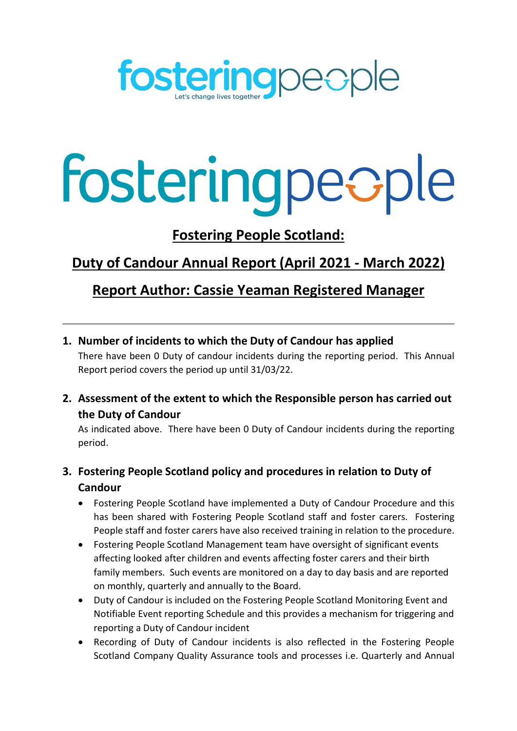

# fosteringpeople

**Fostering People Scotland:**

# **Duty of Candour Annual Report (April 2021 - March 2022)**

## **Report Author: Cassie Yeaman Registered Manager**

**1. Number of incidents to which the Duty of Candour has applied**

There have been 0 Duty of candour incidents during the reporting period. This Annual Report period covers the period up until 31/03/22.

**2. Assessment of the extent to which the Responsible person has carried out the Duty of Candour**

As indicated above. There have been 0 Duty of Candour incidents during the reporting period.

## **3. Fostering People Scotland policy and procedures in relation to Duty of Candour**

- Fostering People Scotland have implemented a Duty of Candour Procedure and this has been shared with Fostering People Scotland staff and foster carers. Fostering People staff and foster carers have also received training in relation to the procedure.
- Fostering People Scotland Management team have oversight of significant events affecting looked after children and events affecting foster carers and their birth family members. Such events are monitored on a day to day basis and are reported on monthly, quarterly and annually to the Board.
- Duty of Candour is included on the Fostering People Scotland Monitoring Event and Notifiable Event reporting Schedule and this provides a mechanism for triggering and reporting a Duty of Candour incident
- Recording of Duty of Candour incidents is also reflected in the Fostering People Scotland Company Quality Assurance tools and processes i.e. Quarterly and Annual